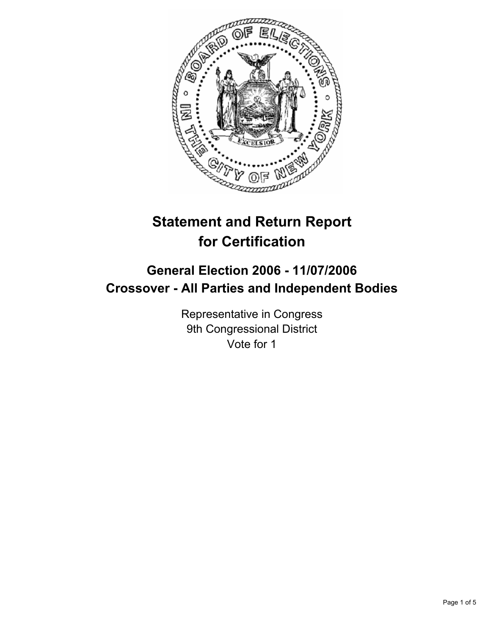

# **Statement and Return Report for Certification**

## **General Election 2006 - 11/07/2006 Crossover - All Parties and Independent Bodies**

Representative in Congress 9th Congressional District Vote for 1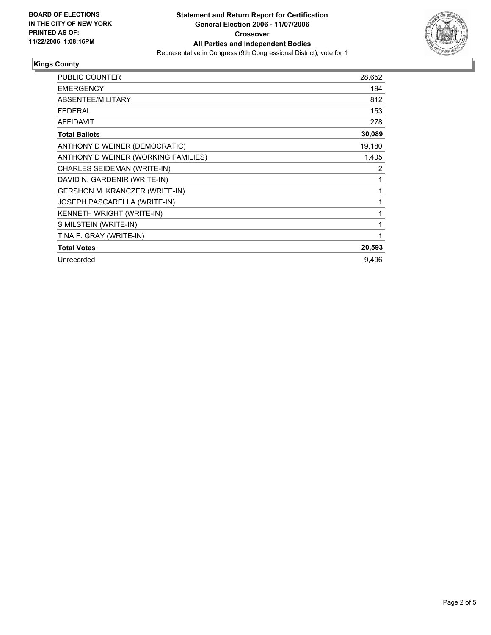

#### **Kings County**

| PUBLIC COUNTER                      | 28,652 |
|-------------------------------------|--------|
| <b>EMERGENCY</b>                    | 194    |
| ABSENTEE/MILITARY                   | 812    |
| <b>FEDERAL</b>                      | 153    |
| <b>AFFIDAVIT</b>                    | 278    |
| <b>Total Ballots</b>                | 30,089 |
| ANTHONY D WEINER (DEMOCRATIC)       | 19,180 |
| ANTHONY D WEINER (WORKING FAMILIES) | 1,405  |
| CHARLES SEIDEMAN (WRITE-IN)         | 2      |
| DAVID N. GARDENIR (WRITE-IN)        |        |
| GERSHON M. KRANCZER (WRITE-IN)      |        |
| JOSEPH PASCARELLA (WRITE-IN)        |        |
| KENNETH WRIGHT (WRITE-IN)           |        |
| S MILSTEIN (WRITE-IN)               |        |
| TINA F. GRAY (WRITE-IN)             |        |
| <b>Total Votes</b>                  | 20,593 |
| Unrecorded                          | 9,496  |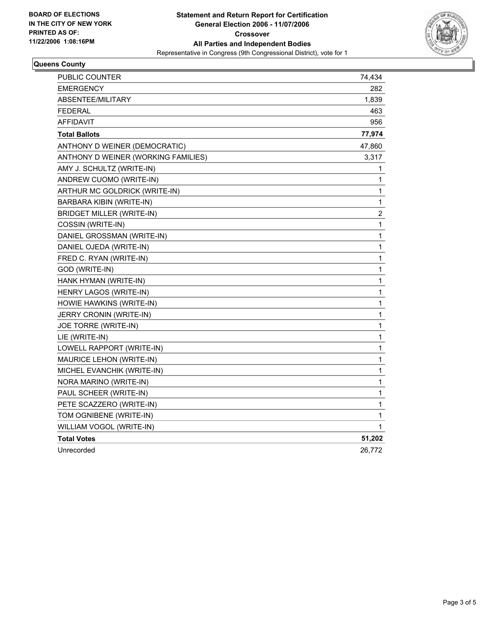

#### **Queens County**

| PUBLIC COUNTER                      | 74,434       |
|-------------------------------------|--------------|
| <b>EMERGENCY</b>                    | 282          |
| ABSENTEE/MILITARY                   | 1,839        |
| FEDERAL                             | 463          |
| <b>AFFIDAVIT</b>                    | 956          |
| <b>Total Ballots</b>                | 77,974       |
| ANTHONY D WEINER (DEMOCRATIC)       | 47,860       |
| ANTHONY D WEINER (WORKING FAMILIES) | 3,317        |
| AMY J. SCHULTZ (WRITE-IN)           | 1            |
| ANDREW CUOMO (WRITE-IN)             | 1            |
| ARTHUR MC GOLDRICK (WRITE-IN)       | 1            |
| BARBARA KIBIN (WRITE-IN)            | 1            |
| <b>BRIDGET MILLER (WRITE-IN)</b>    | 2            |
| COSSIN (WRITE-IN)                   | 1            |
| DANIEL GROSSMAN (WRITE-IN)          | 1            |
| DANIEL OJEDA (WRITE-IN)             | 1            |
| FRED C. RYAN (WRITE-IN)             | 1            |
| GOD (WRITE-IN)                      | 1            |
| HANK HYMAN (WRITE-IN)               | $\mathbf{1}$ |
| HENRY LAGOS (WRITE-IN)              | 1            |
| HOWIE HAWKINS (WRITE-IN)            | 1            |
| JERRY CRONIN (WRITE-IN)             | 1            |
| JOE TORRE (WRITE-IN)                | 1            |
| LIE (WRITE-IN)                      | 1            |
| LOWELL RAPPORT (WRITE-IN)           | 1            |
| MAURICE LEHON (WRITE-IN)            | 1            |
| MICHEL EVANCHIK (WRITE-IN)          | 1            |
| NORA MARINO (WRITE-IN)              | 1            |
| PAUL SCHEER (WRITE-IN)              | 1            |
| PETE SCAZZERO (WRITE-IN)            | 1            |
| TOM OGNIBENE (WRITE-IN)             | 1            |
| WILLIAM VOGOL (WRITE-IN)            | 1            |
| <b>Total Votes</b>                  | 51,202       |
| Unrecorded                          | 26,772       |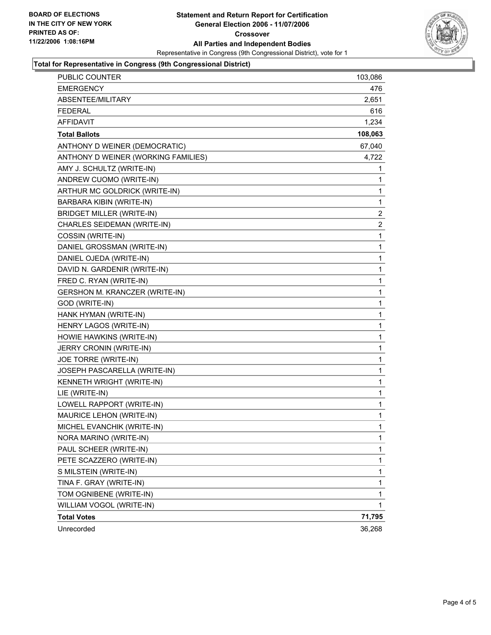

#### **Total for Representative in Congress (9th Congressional District)**

| PUBLIC COUNTER                      | 103,086                 |
|-------------------------------------|-------------------------|
| <b>EMERGENCY</b>                    | 476                     |
| ABSENTEE/MILITARY                   | 2,651                   |
| <b>FEDERAL</b>                      | 616                     |
| <b>AFFIDAVIT</b>                    | 1,234                   |
| <b>Total Ballots</b>                | 108,063                 |
| ANTHONY D WEINER (DEMOCRATIC)       | 67,040                  |
| ANTHONY D WEINER (WORKING FAMILIES) | 4,722                   |
| AMY J. SCHULTZ (WRITE-IN)           | 1                       |
| ANDREW CUOMO (WRITE-IN)             | 1                       |
| ARTHUR MC GOLDRICK (WRITE-IN)       | 1                       |
| BARBARA KIBIN (WRITE-IN)            | $\mathbf{1}$            |
| <b>BRIDGET MILLER (WRITE-IN)</b>    | $\overline{\mathbf{c}}$ |
| CHARLES SEIDEMAN (WRITE-IN)         | $\boldsymbol{2}$        |
| COSSIN (WRITE-IN)                   | 1                       |
| DANIEL GROSSMAN (WRITE-IN)          | 1                       |
| DANIEL OJEDA (WRITE-IN)             | $\mathbf{1}$            |
| DAVID N. GARDENIR (WRITE-IN)        | 1                       |
| FRED C. RYAN (WRITE-IN)             | 1                       |
| GERSHON M. KRANCZER (WRITE-IN)      | 1                       |
| GOD (WRITE-IN)                      | 1                       |
| HANK HYMAN (WRITE-IN)               | 1                       |
| HENRY LAGOS (WRITE-IN)              | 1                       |
| HOWIE HAWKINS (WRITE-IN)            | 1                       |
| JERRY CRONIN (WRITE-IN)             | 1                       |
| JOE TORRE (WRITE-IN)                | 1                       |
| JOSEPH PASCARELLA (WRITE-IN)        | 1                       |
| KENNETH WRIGHT (WRITE-IN)           | 1                       |
| LIE (WRITE-IN)                      | $\mathbf{1}$            |
| LOWELL RAPPORT (WRITE-IN)           | 1                       |
| MAURICE LEHON (WRITE-IN)            | 1                       |
| MICHEL EVANCHIK (WRITE-IN)          | 1                       |
| NORA MARINO (WRITE-IN)              | 1                       |
| PAUL SCHEER (WRITE-IN)              | 1                       |
| PETE SCAZZERO (WRITE-IN)            | 1                       |
| S MILSTEIN (WRITE-IN)               | 1                       |
| TINA F. GRAY (WRITE-IN)             | $\mathbf{1}$            |
| TOM OGNIBENE (WRITE-IN)             | $\mathbf{1}$            |
| WILLIAM VOGOL (WRITE-IN)            | 1                       |
| <b>Total Votes</b>                  | 71,795                  |
| Unrecorded                          | 36,268                  |
|                                     |                         |